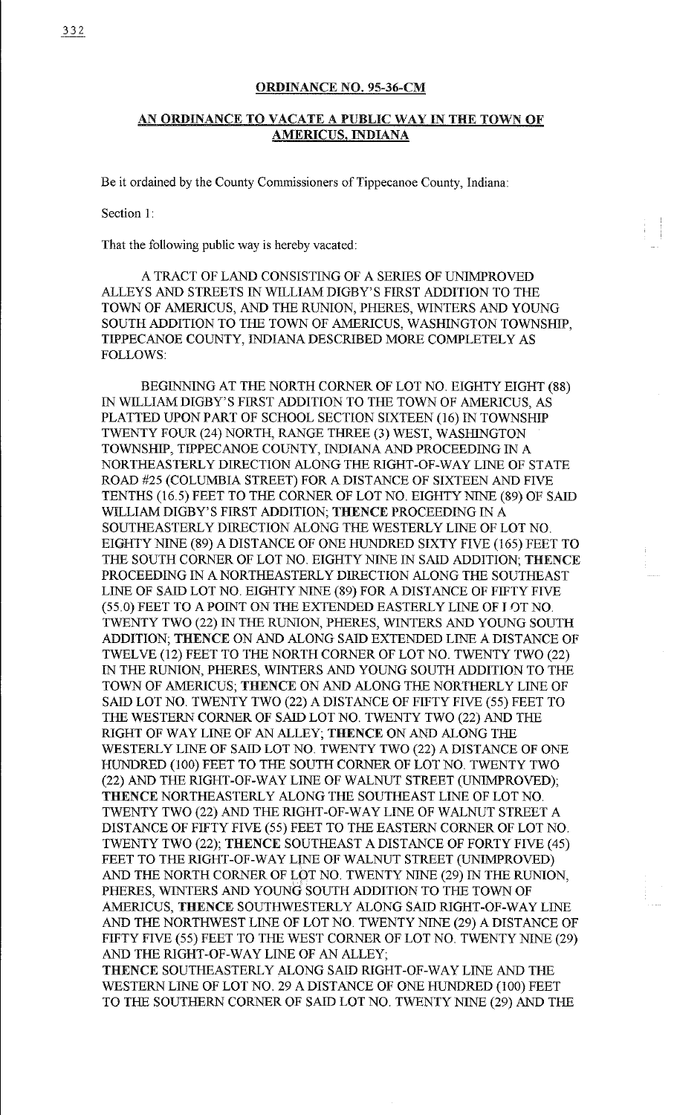## ORDINANCE NO. 95-36-CM

## AN ORDINANCE TO VACATE A PUBLIC WAY IN THE TOWN OF AMERICUS, INDIANA

Be it ordained by the County Commissioners of Tippecanoe County, Indiana:

Section I:

That the following public way is hereby vacated:

A TRACT OF LAND CONSISTING OF A SERIES OF UNIMPROVED ALLEYS AND STREETS IN WILLIAM DIGBY' S FIRST ADDITION TO THE TOWN OF AMERICUS, AND THE RUNION, PHERES, WINTERS AND YOUNG SOUTH ADDITION TO THE TOWN OF AMERICUS, WASHINGTON TOWNSHIP, TIPPECANOE COUNTY, INDIANA DESCRIBED MORE COMPLETELY AS FOLLOWS:

BEGINNING AT THE NORTH CORNER OF LOT NO. EIGHTY EIGHT (88) IN WILLIAM DIGBY'S FIRST ADDITION TO THE TOWN OF AMERICUS, AS PLATTED UPON PART OF SCHOOL SECTION SIXTEEN (16) IN TOWNSHIP TWENTY FOUR (24) NORTH, RANGE THREE (3) WEST, WASHINGTON TOWNSHIP, TIPPECANOE COUNTY, INDIANA AND PROCEEDING IN A NORTHEASTERLY DIRECTION ALONG THE RIGHT-OF-WAY LINE OF STATE ROAD #25 (COLUMBIA STREET) FOR A DISTANCE OF SIXTEEN AND FIVE TENTHS (16.5) FEET TO THE CORNER OF LOT NO. EIGHTY NINE (89) OF SAID WILLIAM DIGBY'S FIRST ADDITION; THENCE PROCEEDING IN A SOUTHEASTERLY DIRECTION ALONG THE WESTERLY LINE OF LOT NO. EIGHTY NINE (89) A DISTANCE OF ONE HUNDRED SIXTY FIVE (165) FEET TO THE SOUTH CORNER OF LOT NO. EIGHTY NINE IN SAID ADDITION; THENCE PROCEEDING IN A NORTHEASTERLY DIRECTION ALONG THE SOUTHEAST LINE OF SAID LOT NO. EIGHTY NINE (89) FOR A DISTANCE OF FIFTY FIVE (55.0) FEET TO A POINT ON THE EXTENDED EASTERLY LINE OF J OTNO. TWENTY TWO (22) IN THE RUNION, PHERES, WINTERS AND YOUNG SOUTH ADDITION; THENCE ON AND ALONG SAID EXTENDED LINE A DISTANCE OF TWELVE (12) FEET TO THE NORTH CORNER OF LOT NO. TWENTY TWO (22) IN THE RUNION, PHERES, WINTERS AND YOUNG SOUTH ADDITION TO THE TOWN OF AMERICUS; THENCE ON AND ALONG THE NORTHERLY LINE OF SAID LOT NO. TWENTY TWO (22) A DISTANCE OF FIFTY FIVE (55) FEET TO THE WESTERN CORNER OF SAID LOT NO. TWENTY TWO (22) AND THE RIGHT OF WAY LINE OF AN ALLEY; THENCE ON AND ALONG THE WESTERLY LINE OF SAID LOT NO. TWENTY TWO (22) A DISTANCE OF ONE HUNDRED (100) FEET TO THE SOUTH CORNER OF LOT NO. TWENTY TWO (22) AND THE RIGHT-OF-WAY LINE OF WALNUT STREET (UNIMPROVED); THENCE NORTHEASTERLY ALONG THE SOUTHEAST LINE OF LOT NO. TWENTY TWO (22) AND THE RIGHT-OF-WAY LINE OF WALNUT STREET A DISTANCE OF FIFTY FIVE (55) FEET TO THE EASTERN CORNER OF LOT NO. TWENTY TWO (22); THENCE SOUTHEAST A DISTANCE OF FORTY FIVE ( 45) FEET TO THE RIGHT-OF-WAY LINE OF WALNUT STREET (UNIMPROVED) AND THE NORTH CORNER OF LOT NO. TWENTY NINE (29) IN THE RUNION, PHERES, WINTERS AND YOUNG SOUTH ADDITION TO THE TOWN OF AMERICUS, THENCE SOUTHWESTERLY ALONG SAID RIGHT-OF-WAY LINE AND THE NORTHWEST LINE OF LOT NO. TWENTY NINE (29) A DISTANCE OF FIFTY FIVE (55) FEET TO THE WEST CORNER OF LOT NO. TWENTY NINE (29) AND THE RIGHT-OF-WAY LINE OF AN ALLEY;

THENCE SOUTHEASTERLY ALONG SAID RIGHT-OF-WAY LINE AND THE WESTERN LINE OF LOT NO. 29 A DISTANCE OF ONE HUNDRED (100) FEET TO THE SOUTHERN CORNER OF SAID LOT NO. TWENTY NINE (29) AND THE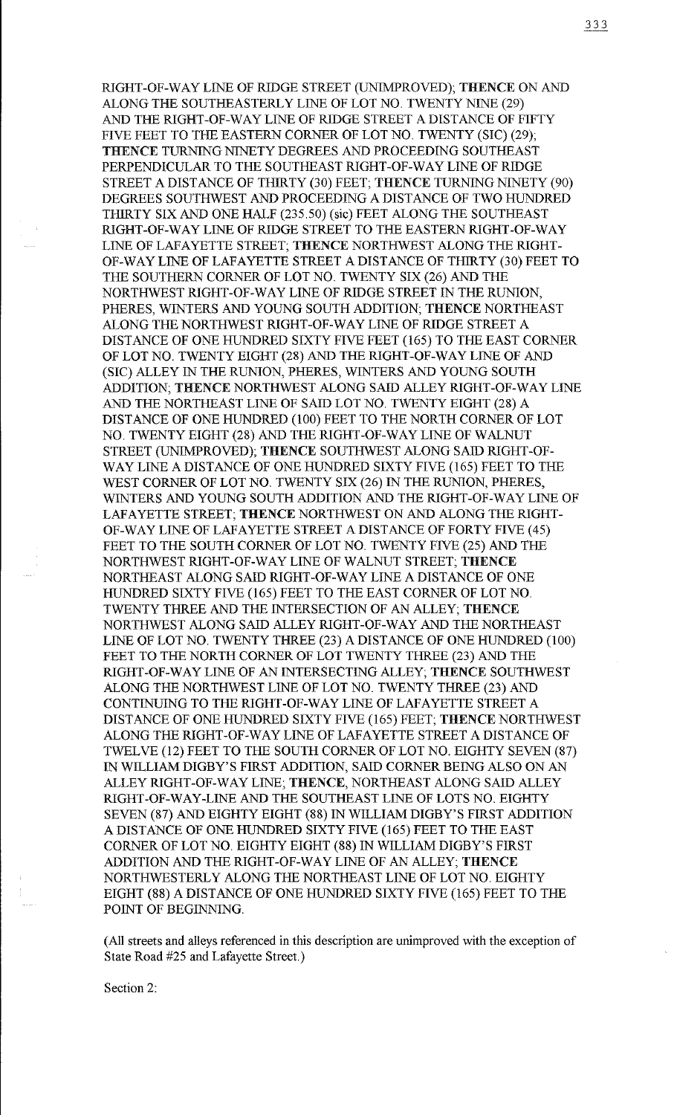RIGHT-OF-WAY LINE OF RIDGE STREET (UNIMPROVED); THENCE ON AND ALONG THE SOUTHEASTERLY LINE OF LOT NO. TWENTY NINE (29) AND THE RIGHT-OF-WAY LINE OF RIDGE STREET A DISTANCE OF FIFTY FIVE FEET TO THE EASTERN CORNER OF LOT NO. TWENTY (SIC) (29); THENCE TURNING NINETY DEGREES AND PROCEEDING SOUTHEAST PERPENDICULAR TO THE SOUTHEAST RIGHT-OF-WAY LINE OF RIDGE STREET A DISTANCE OF THIRTY (30) FEET; THENCE TURNING NINETY (90) DEGREES SOUTHWEST AND PROCEEDING A DISTANCE OF TWO HUNDRED THIRTY SIX AND ONE HALF (235.50) (sic) FEET ALONG THE SOUTHEAST RIGHT-OF-WAY LINE OF RIDGE STREET TO THE EASTERN RIGHT-OF-WAY LINE OF LAFAYETTE STREET; THENCE NORTHWEST ALONG THE RIGHT-OF-WAYLINE OF LAFAYETTE STREET A DISTANCE OF THIRTY (30) FEET TO THE SOUTHERN CORNER OF LOT NO. TWENTY SIX (26) AND THE NORTHWEST RIGHT-OF-WAY LINE OF RIDGE STREET IN THE RUNION, PHERES, WINTERS AND YOUNG SOUTH ADDITION; THENCE NORTHEAST ALONG THE NORTHWEST RIGHT-OF-WAY LINE OF RIDGE STREET A DISTANCE OF ONE HUNDRED SIXTY FIVE FEET (165) TO THE EAST CORNER OF LOT NO. TWENTY EIGHT (28)AND THE RIGHT-OF-WAY LINE OF AND (SIC) ALLEY IN THE RUNION, PHERES, WINTERS AND YOUNG SOUTH ADDITION; THENCE NORTHWEST ALONG SAID ALLEY RIGHT-OF-WAY LINE AND THE NORTHEAST LINE OF SAID LOT NO. TWENTY EIGHT (28) A DISTANCE OF ONE HUNDRED (100) FEET TO THE NORTH CORNER OF LOT NO. TWENTY EIGHT (28) AND THERIGHT-OF-WAYLINE OF WALNUT STREET (UNIMPROVED); THENCE SOUTHWEST ALONG SAID RIGHT-OF-WAY LINE A DISTANCE OF ONE HUNDRED SIXTY FIVE (165) FEET TO THE WEST CORNER OF LOT NO. TWENTY SIX (26) IN THE RUNION, PHERES, WINTERS AND YOUNG SOUTH ADDITION AND THE RIGHT-OF-WAY LINE OF LAFAYETTE STREET; THENCE NORTHWEST ON AND ALONG THE RIGHT-OF-WAY LINE OF LAFAYETTE STREET A DISTANCE OF FORTY FIVE (45) FEET TO THE SOUTH CORNER OF LOT NO. TWENTY FIVE (25) AND THE NORTHWEST RIGHT-OF-WAY LINE OF WALNUT STREET; THENCE NORTHEAST ALONG SAID RIGHT-OF-WAY LINE A DISTANCE OF ONE HUNDRED SIXTY FIVE (165) FEET TO THE EAST CORNER OF LOT NO. TWENTY THREE AND THE INTERSECTION OF AN ALLEY; THENCE NORTHWEST ALONG SAID ALLEY RIGHT-OF-WAY AND THE NORTHEAST LINE OF LOT NO. TWENTY THREE (23) A DISTANCE OF ONE HUNDRED (100) FEET TO THE NORTH CORNER OF LOT TWENTY THREE (23) AND THE RIGHT-OF-WAY LINE OF AN INTERSECTING ALLEY; THENCE SOUTHWEST ALONG THE NORTHWEST LINE OF LOT NO. TWENTY THREE (23) AND CONTINUING TO THE RIGHT-OF-WAY LINE OF LAFAYETTE STREET A DISTANCE OF ONE HUNDRED SIXTY FIVE (165) FEET; THENCE NORTHWEST ALONG THE RIGHT-OF-WAY LINE OF LAFAYETTE STREET A DISTANCE OF TWELVE (12) FEET TO THE SOUTH CORNER OF LOT NO. EIGHTY SEVEN (87) IN WILLIAM DIGBY' S FIRST ADDITION, SAID CORNER BEING ALSO ON AN ALLEY RIGHT-OF-WAY LINE; THENCE, NORTHEAST ALONG SAID ALLEY RIGHT-OF-WAY-LINE AND THE SOUTHEAST LINE OF LOTS NO. EIGHTY SEVEN (87) AND EIGHTY EIGHT (88) IN WILLIAM DIGBY'S FIRST ADDITION A DISTANCE OF ONE HUNDRED SIXTY FIVE (165) FEET TO THE EAST CORNER OF LOT NO. EIGHTY EIGHT (88) IN WILLIAM DIGBY'S FIRST ADDITION AND THE RIGHT-OF-WAY LINE OF AN ALLEY; THENCE NORTHWESTERLY ALONG THE NORTHEAST LINE OF LOT NO. EIGHTY EIGHT (88) A DISTANCE OF ONE HUNDRED SIXTY FIVE (165) FEET TO THE POINT OF BEGINNING.

(All streets and alleys referenced in this description are unimproved with the exception of State Road #25 and Lafayette Street.)

Section 2: